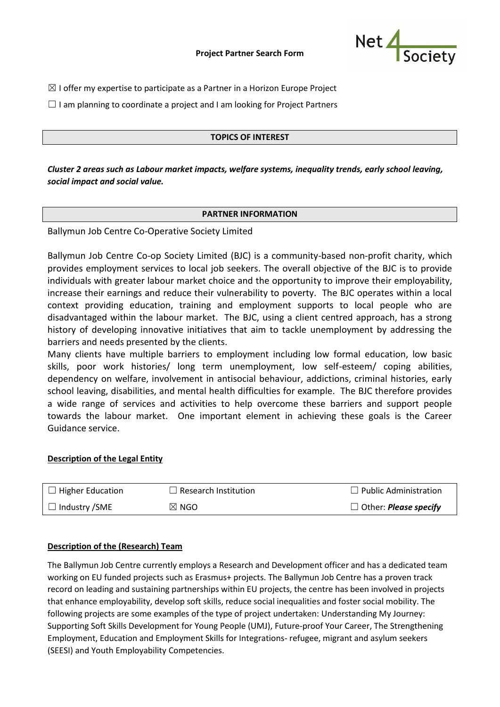

- $\boxtimes$  I offer my expertise to participate as a Partner in a Horizon Europe Project
- $\Box$  I am planning to coordinate a project and I am looking for Project Partners

## **TOPICS OF INTEREST**

*Cluster 2 areas such as Labour market impacts, welfare systems, inequality trends, early school leaving, social impact and social value.*

### **PARTNER INFORMATION**

Ballymun Job Centre Co-Operative Society Limited

Ballymun Job Centre Co-op Society Limited (BJC) is a community-based non-profit charity, which provides employment services to local job seekers. The overall objective of the BJC is to provide individuals with greater labour market choice and the opportunity to improve their employability, increase their earnings and reduce their vulnerability to poverty. The BJC operates within a local context providing education, training and employment supports to local people who are disadvantaged within the labour market. The BJC, using a client centred approach, has a strong history of developing innovative initiatives that aim to tackle unemployment by addressing the barriers and needs presented by the clients.

Many clients have multiple barriers to employment including low formal education, low basic skills, poor work histories/ long term unemployment, low self-esteem/ coping abilities, dependency on welfare, involvement in antisocial behaviour, addictions, criminal histories, early school leaving, disabilities, and mental health difficulties for example. The BJC therefore provides a wide range of services and activities to help overcome these barriers and support people towards the labour market. One important element in achieving these goals is the Career Guidance service.

### **Description of the Legal Entity**

| $\Box$ Higher Education | $\Box$ Research Institution | $\Box$ Public Administration        |
|-------------------------|-----------------------------|-------------------------------------|
| $\Box$ Industry /SME    | $\boxtimes$ NGO             | $\Box$ Other: <i>Please specify</i> |

#### **Description of the (Research) Team**

The Ballymun Job Centre currently employs a Research and Development officer and has a dedicated team working on EU funded projects such as Erasmus+ projects. The Ballymun Job Centre has a proven track record on leading and sustaining partnerships within EU projects, the centre has been involved in projects that enhance employability, develop soft skills, reduce social inequalities and foster social mobility. The following projects are some examples of the type of project undertaken: Understanding My Journey: Supporting Soft Skills Development for Young People (UMJ), Future-proof Your Career, The Strengthening Employment, Education and Employment Skills for Integrations- refugee, migrant and asylum seekers (SEESI) and Youth Employability Competencies.